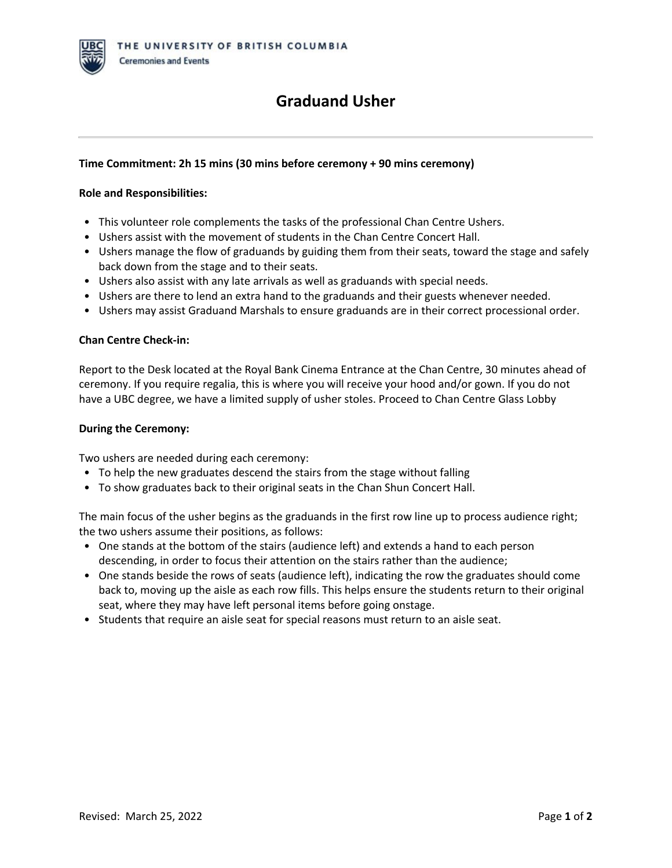## **Graduand Usher**

### **Time Commitment: 2h 15 mins (30 mins before ceremony + 90 mins ceremony)**

#### **Role and Responsibilities:**

- This volunteer role complements the tasks of the professional Chan Centre Ushers.
- Ushers assist with the movement of students in the Chan Centre Concert Hall.
- Ushers manage the flow of graduands by guiding them from their seats, toward the stage and safely back down from the stage and to their seats.
- Ushers also assist with any late arrivals as well as graduands with special needs.
- Ushers are there to lend an extra hand to the graduands and their guests whenever needed.
- Ushers may assist Graduand Marshals to ensure graduands are in their correct processional order.

#### **Chan Centre Check-in:**

Report to the Desk located at the Royal Bank Cinema Entrance at the Chan Centre, 30 minutes ahead of ceremony. If you require regalia, this is where you will receive your hood and/or gown. If you do not have a UBC degree, we have a limited supply of usher stoles. Proceed to Chan Centre Glass Lobby

#### **During the Ceremony:**

Two ushers are needed during each ceremony:

- To help the new graduates descend the stairs from the stage without falling
- To show graduates back to their original seats in the Chan Shun Concert Hall.

The main focus of the usher begins as the graduands in the first row line up to process audience right; the two ushers assume their positions, as follows:

- One stands at the bottom of the stairs (audience left) and extends a hand to each person descending, in order to focus their attention on the stairs rather than the audience;
- One stands beside the rows of seats (audience left), indicating the row the graduates should come back to, moving up the aisle as each row fills. This helps ensure the students return to their original seat, where they may have left personal items before going onstage.
- Students that require an aisle seat for special reasons must return to an aisle seat.